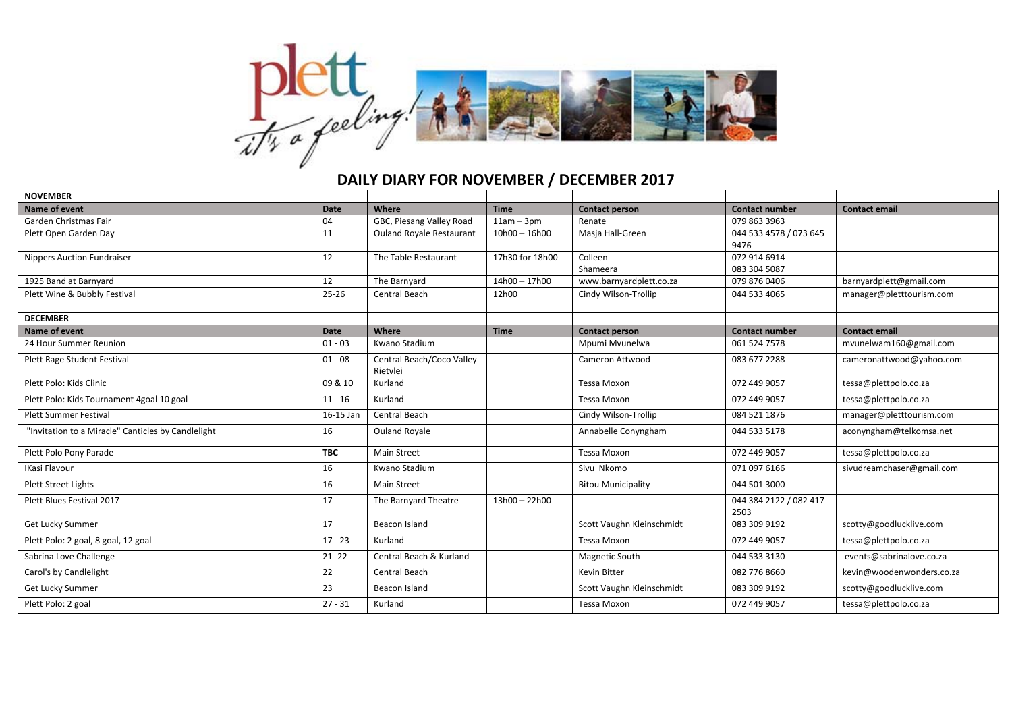

## **DAILY DIARY FOR NOVEMBER / DECEMBER 2017**

| <b>NOVEMBER</b>                                    |             |                                       |                 |                           |                        |                           |
|----------------------------------------------------|-------------|---------------------------------------|-----------------|---------------------------|------------------------|---------------------------|
| <b>Name of event</b>                               | <b>Date</b> | Where                                 | <b>Time</b>     | <b>Contact person</b>     | <b>Contact number</b>  | <b>Contact email</b>      |
| Garden Christmas Fair                              | 04          | GBC, Piesang Valley Road              | $11am - 3pm$    | Renate                    | 079 863 3963           |                           |
| Plett Open Garden Day                              | 11          | <b>Ouland Royale Restaurant</b>       | $10h00 - 16h00$ | Masja Hall-Green          | 044 533 4578 / 073 645 |                           |
|                                                    |             |                                       |                 |                           | 9476                   |                           |
| <b>Nippers Auction Fundraiser</b>                  | 12          | The Table Restaurant                  | 17h30 for 18h00 | Colleen                   | 072 914 6914           |                           |
|                                                    |             |                                       |                 | Shameera                  | 083 304 5087           |                           |
| 1925 Band at Barnyard                              | 12          | The Barnyard                          | 14h00 - 17h00   | www.barnyardplett.co.za   | 079 876 0406           | barnyardplett@gmail.com   |
| Plett Wine & Bubbly Festival                       | $25 - 26$   | Central Beach                         | 12h00           | Cindy Wilson-Trollip      | 044 533 4065           | manager@pletttourism.com  |
| <b>DECEMBER</b>                                    |             |                                       |                 |                           |                        |                           |
| Name of event                                      | Date        | Where                                 | <b>Time</b>     | <b>Contact person</b>     | <b>Contact number</b>  | <b>Contact email</b>      |
| 24 Hour Summer Reunion                             | $01 - 03$   | Kwano Stadium                         |                 | Mpumi Mvunelwa            | 061 524 7578           | mvunelwam160@gmail.com    |
| Plett Rage Student Festival                        | $01 - 08$   | Central Beach/Coco Valley<br>Rietvlei |                 | Cameron Attwood           | 083 677 2288           | cameronattwood@yahoo.com  |
| Plett Polo: Kids Clinic                            | 09 & 10     | Kurland                               |                 | <b>Tessa Moxon</b>        | 072 449 9057           | tessa@plettpolo.co.za     |
| Plett Polo: Kids Tournament 4goal 10 goal          | $11 - 16$   | Kurland                               |                 | Tessa Moxon               | 072 449 9057           | tessa@plettpolo.co.za     |
| <b>Plett Summer Festival</b>                       | 16-15 Jan   | Central Beach                         |                 | Cindy Wilson-Trollip      | 084 521 1876           | manager@pletttourism.com  |
| "Invitation to a Miracle" Canticles by Candlelight | 16          | Ouland Royale                         |                 | Annabelle Conyngham       | 044 533 5178           | aconyngham@telkomsa.net   |
| Plett Polo Pony Parade                             | <b>TBC</b>  | Main Street                           |                 | Tessa Moxon               | 072 449 9057           | tessa@plettpolo.co.za     |
| <b>IKasi Flavour</b>                               | 16          | Kwano Stadium                         |                 | Sivu Nkomo                | 071 097 6166           | sivudreamchaser@gmail.com |
| <b>Plett Street Lights</b>                         | 16          | <b>Main Street</b>                    |                 | <b>Bitou Municipality</b> | 044 501 3000           |                           |
| Plett Blues Festival 2017                          | 17          | The Barnyard Theatre                  | 13h00 - 22h00   |                           | 044 384 2122 / 082 417 |                           |
|                                                    |             |                                       |                 |                           | 2503                   |                           |
| Get Lucky Summer                                   | 17          | Beacon Island                         |                 | Scott Vaughn Kleinschmidt | 083 309 9192           | scotty@goodlucklive.com   |
| Plett Polo: 2 goal, 8 goal, 12 goal                | $17 - 23$   | Kurland                               |                 | Tessa Moxon               | 072 449 9057           | tessa@plettpolo.co.za     |
| Sabrina Love Challenge                             | $21 - 22$   | Central Beach & Kurland               |                 | <b>Magnetic South</b>     | 044 533 3130           | events@sabrinalove.co.za  |
| Carol's by Candlelight                             | 22          | Central Beach                         |                 | <b>Kevin Bitter</b>       | 082 776 8660           | kevin@woodenwonders.co.za |
| Get Lucky Summer                                   | 23          | Beacon Island                         |                 | Scott Vaughn Kleinschmidt | 083 309 9192           | scotty@goodlucklive.com   |
| Plett Polo: 2 goal                                 | $27 - 31$   | Kurland                               |                 | Tessa Moxon               | 072 449 9057           | tessa@plettpolo.co.za     |